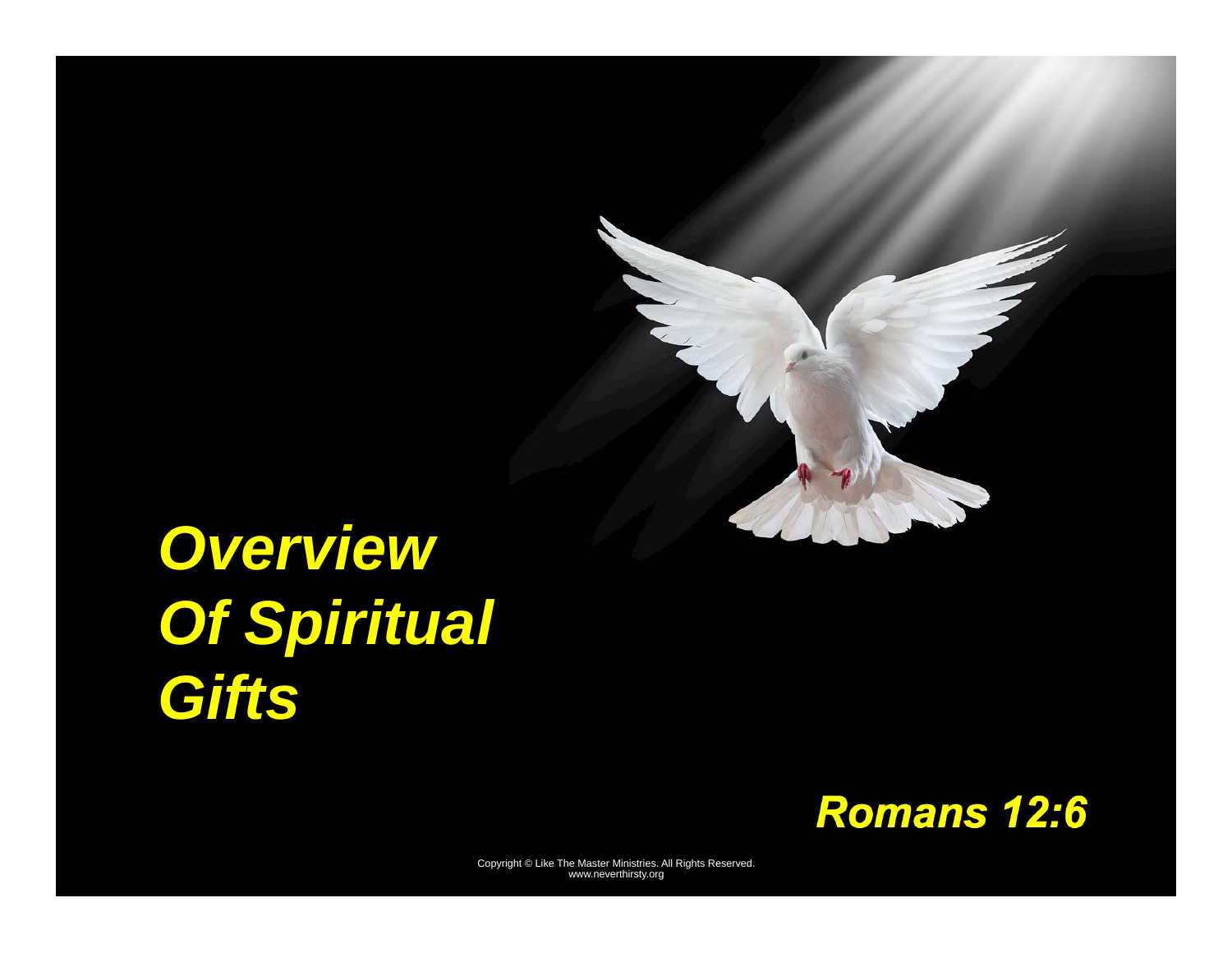# *Overview Of Spiritual Gifts*

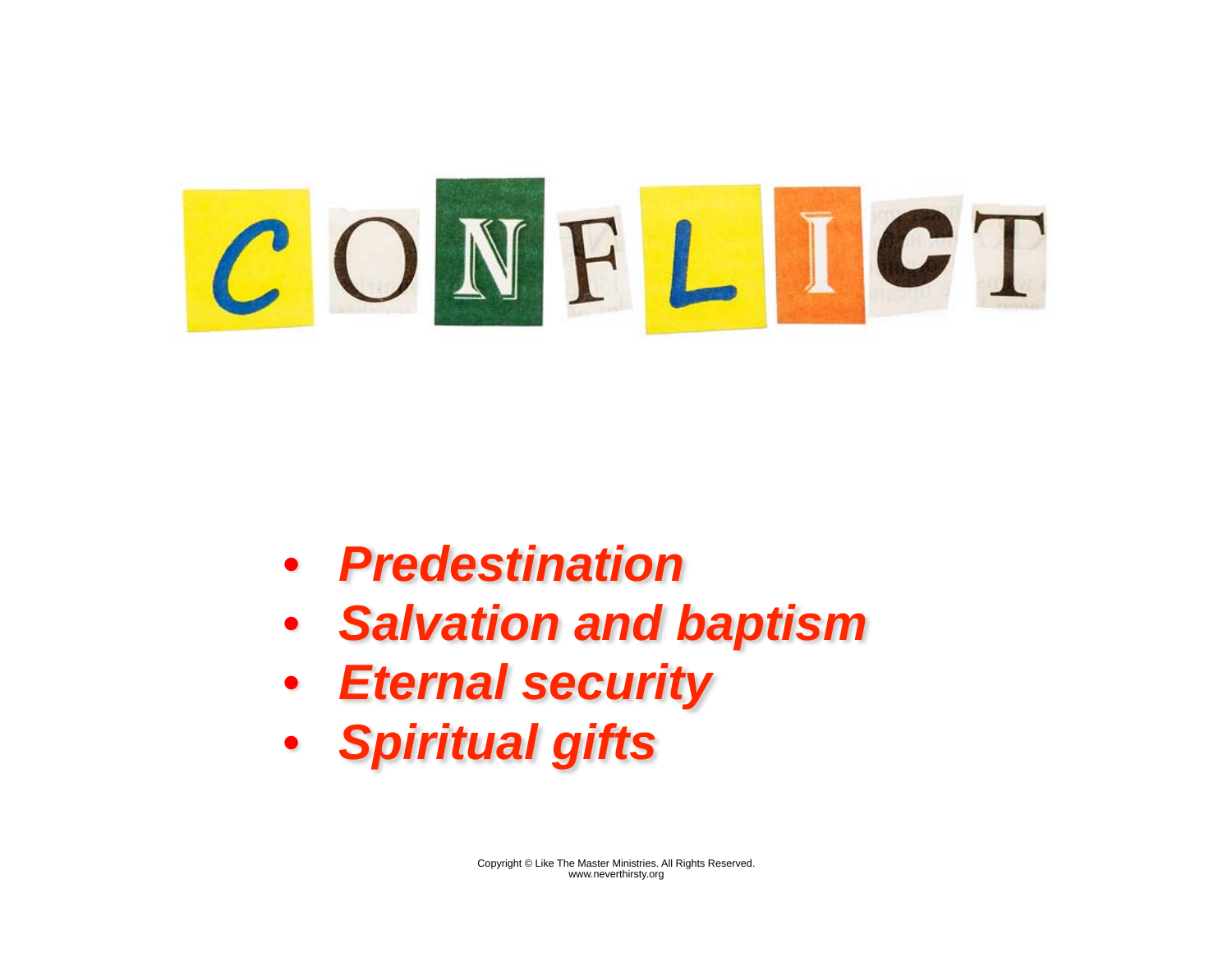

- *Predestination*
- *Salvation and baptism*
- *Eternal security*
- *Spiritual gifts*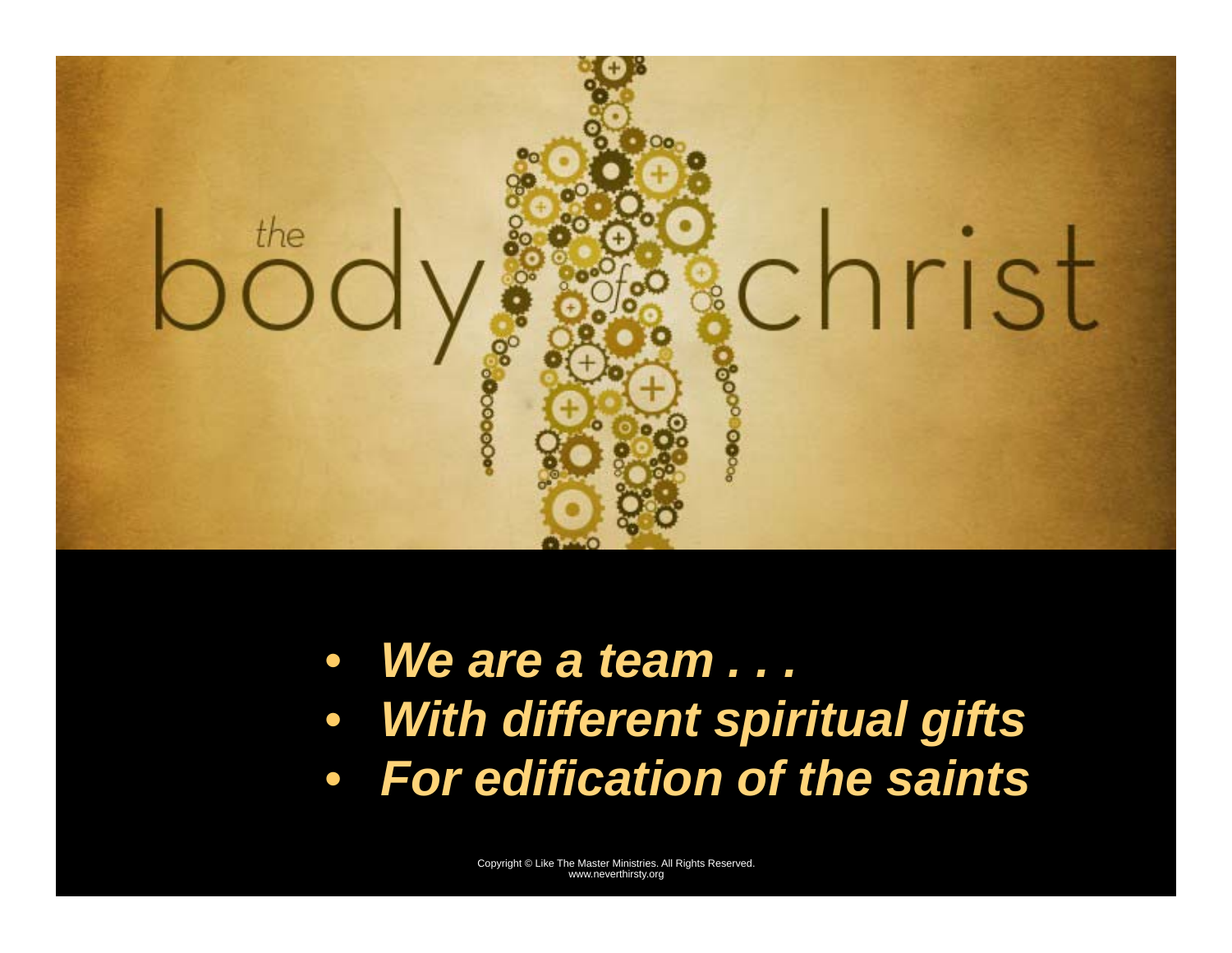

• *We are a team . . .*  • *With different spiritual gifts*  • *For edification of the saints*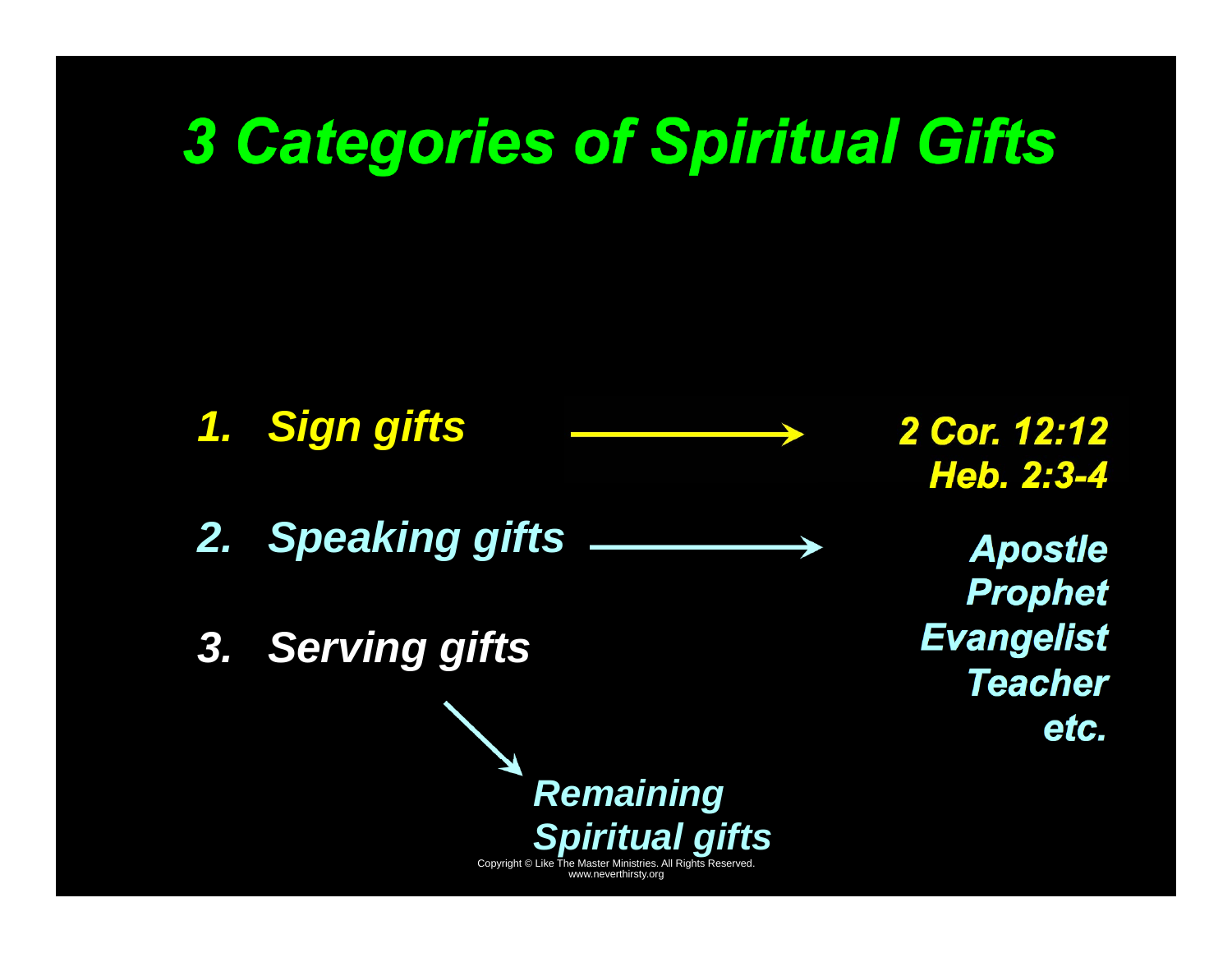# *3 Categories of Spiritual Gifts*

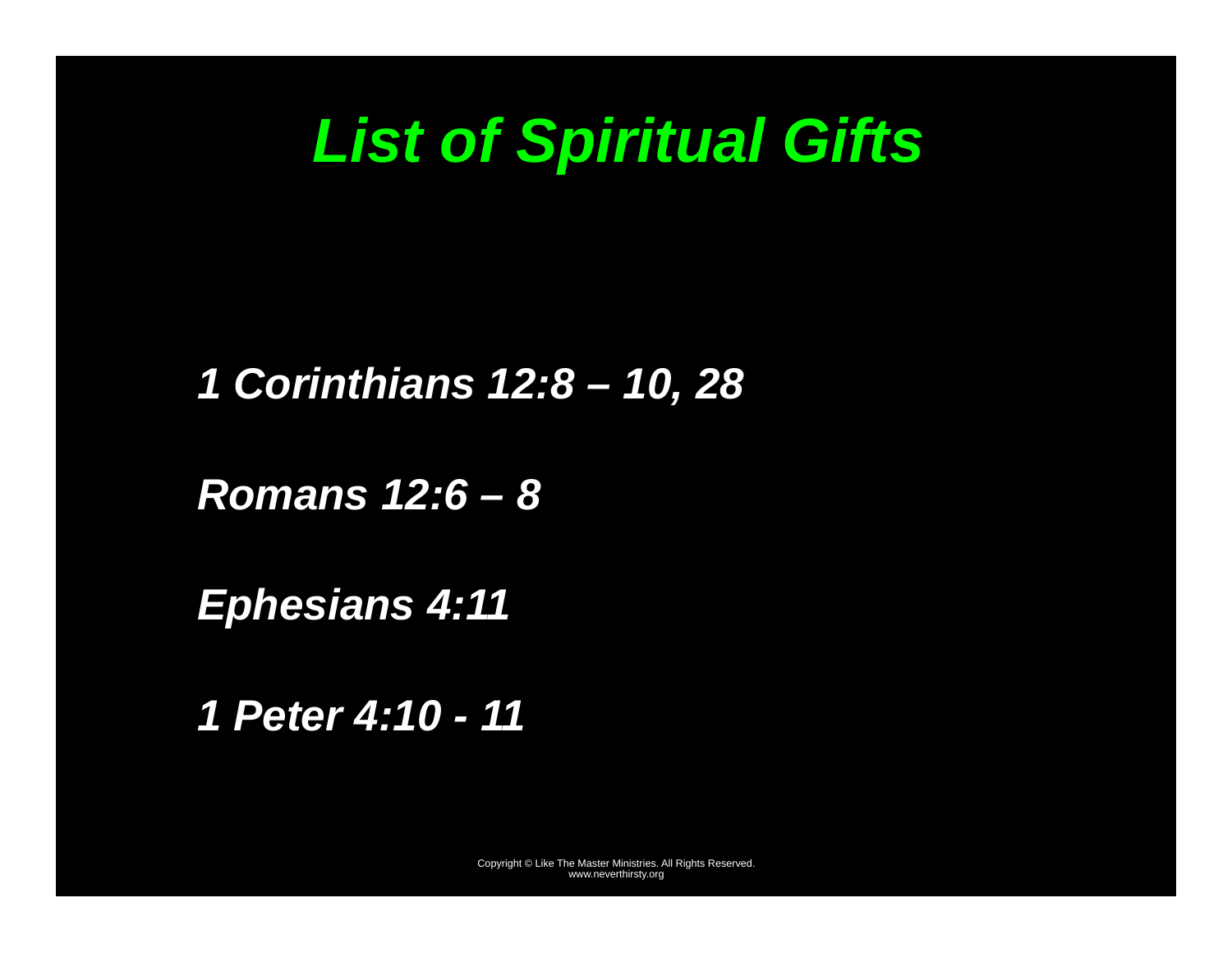# *List of Spiritual Gifts*

#### *1 Corinthians 12:8 – 10, 28*

#### *Romans 12:6 – 8*

*Ephesians 4:11* 

*1 Peter 4:10 - 11*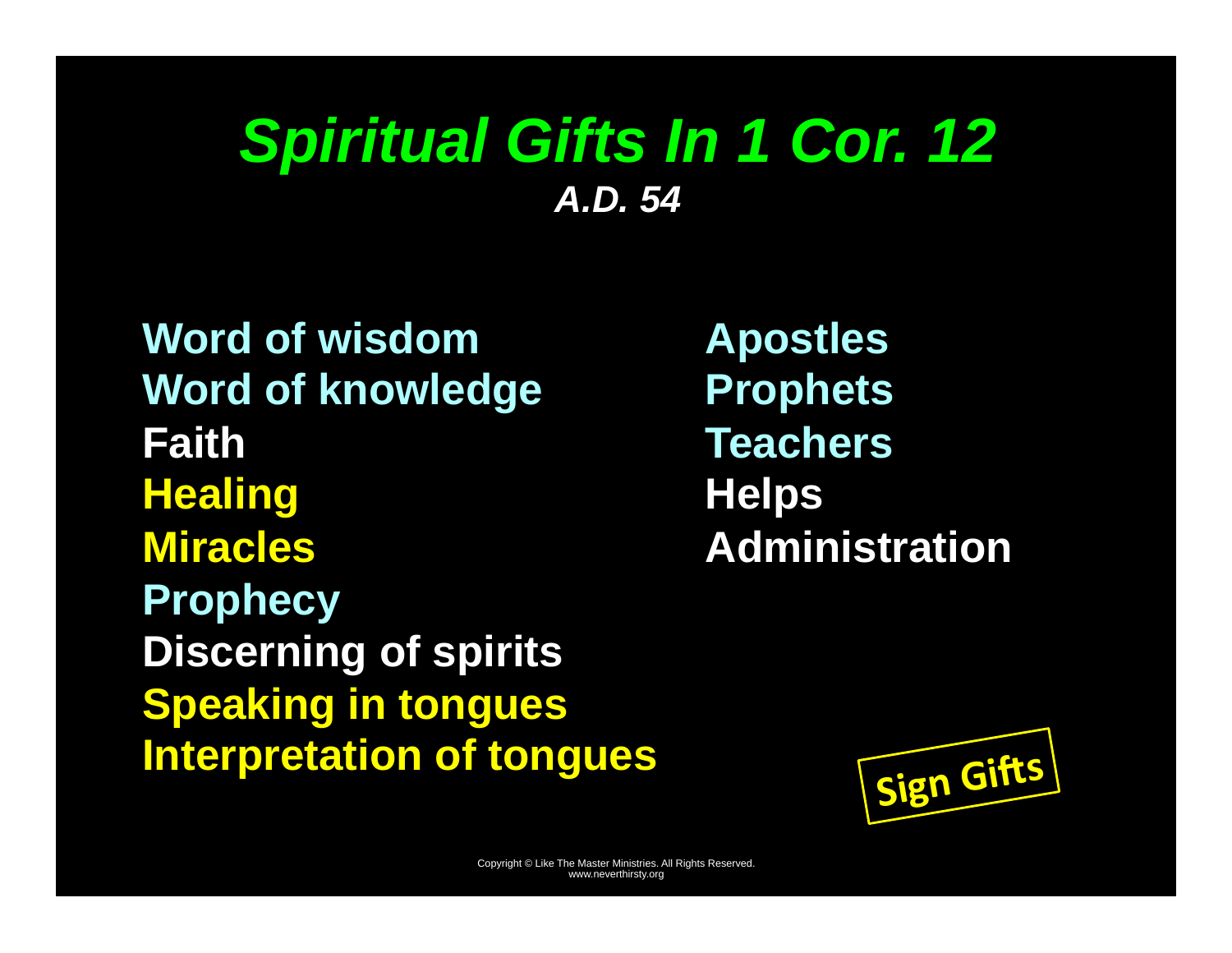## *Spiritual Gifts In 1 Cor. 12 A.D. 54*

**Word of wisdom Word of knowledge Faith Healing Miracles Prophecy Discerning of spirits Speaking in tongues Interpretation of tongues** 

**Apostles Prophets Teachers Helps Administration** 

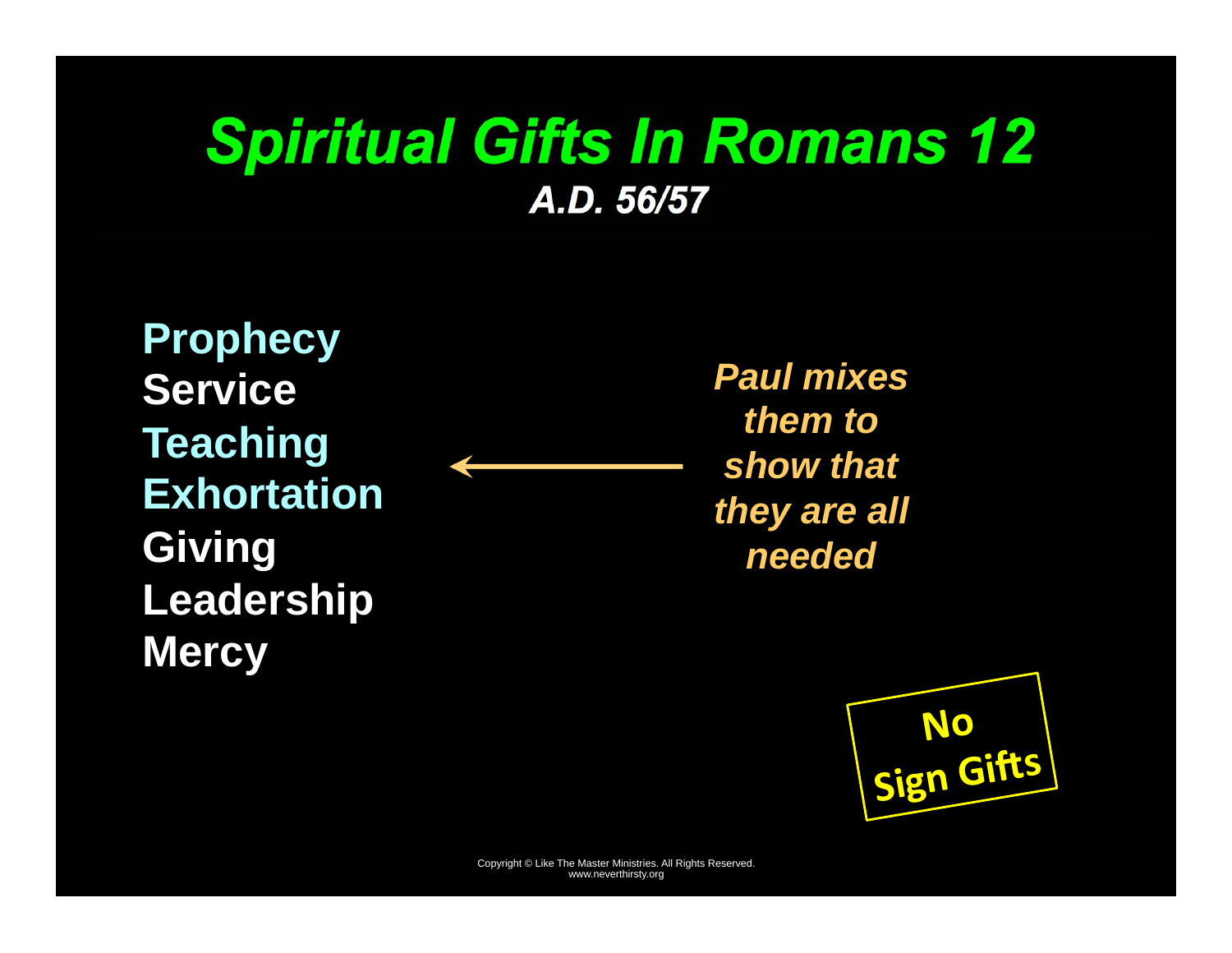## *Spiritual Gifts In Romans 12 A.D. 56/57*

**Prophecy Service Teaching Exhortation Giving Leadership Mercy** 

*Paul mixes them to show that they are all needed* 

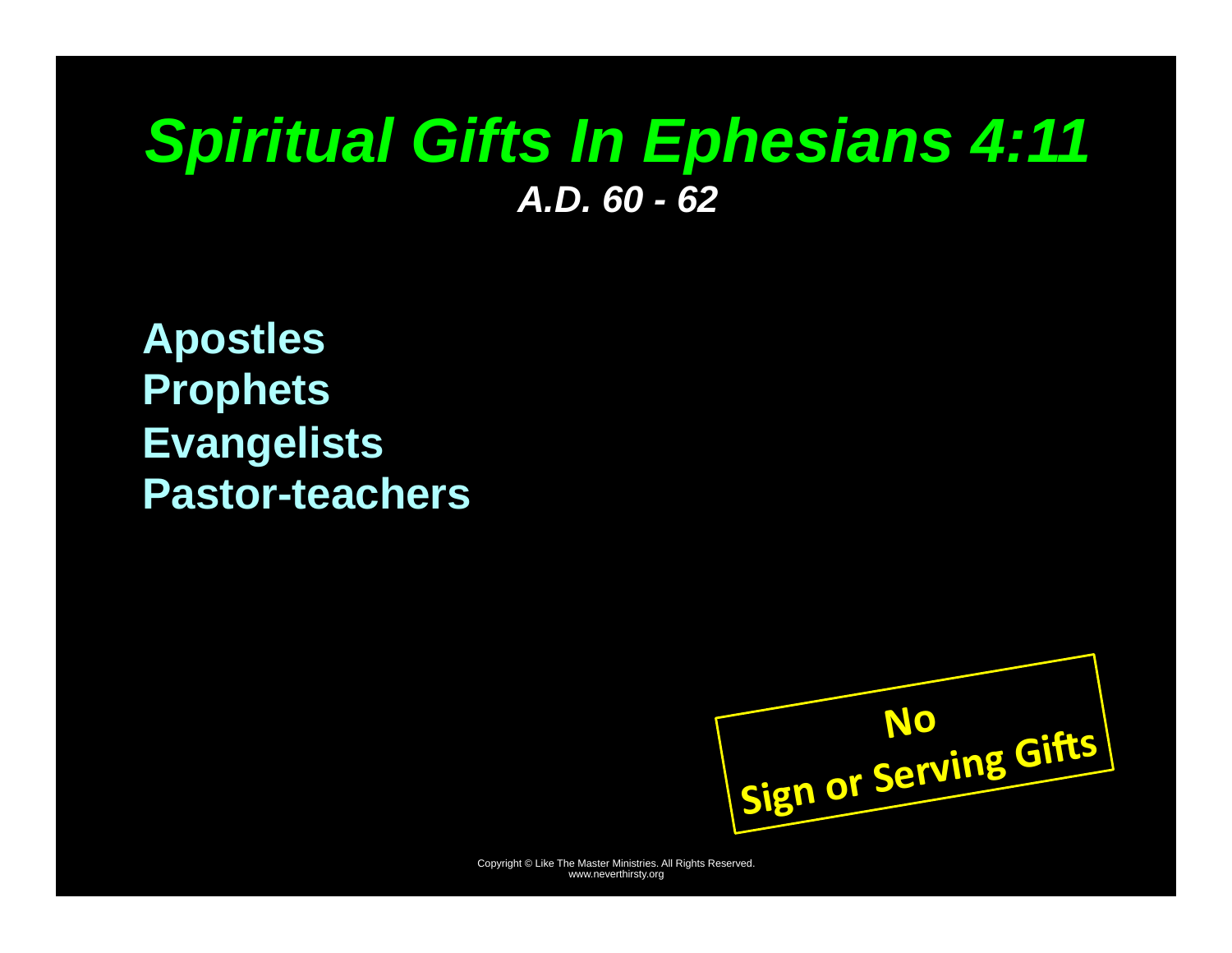## *Spiritual Gifts In Ephesians 4:11 A.D. 60 - 62*

**Apostles Prophets Evangelists Pastor-teachers** 

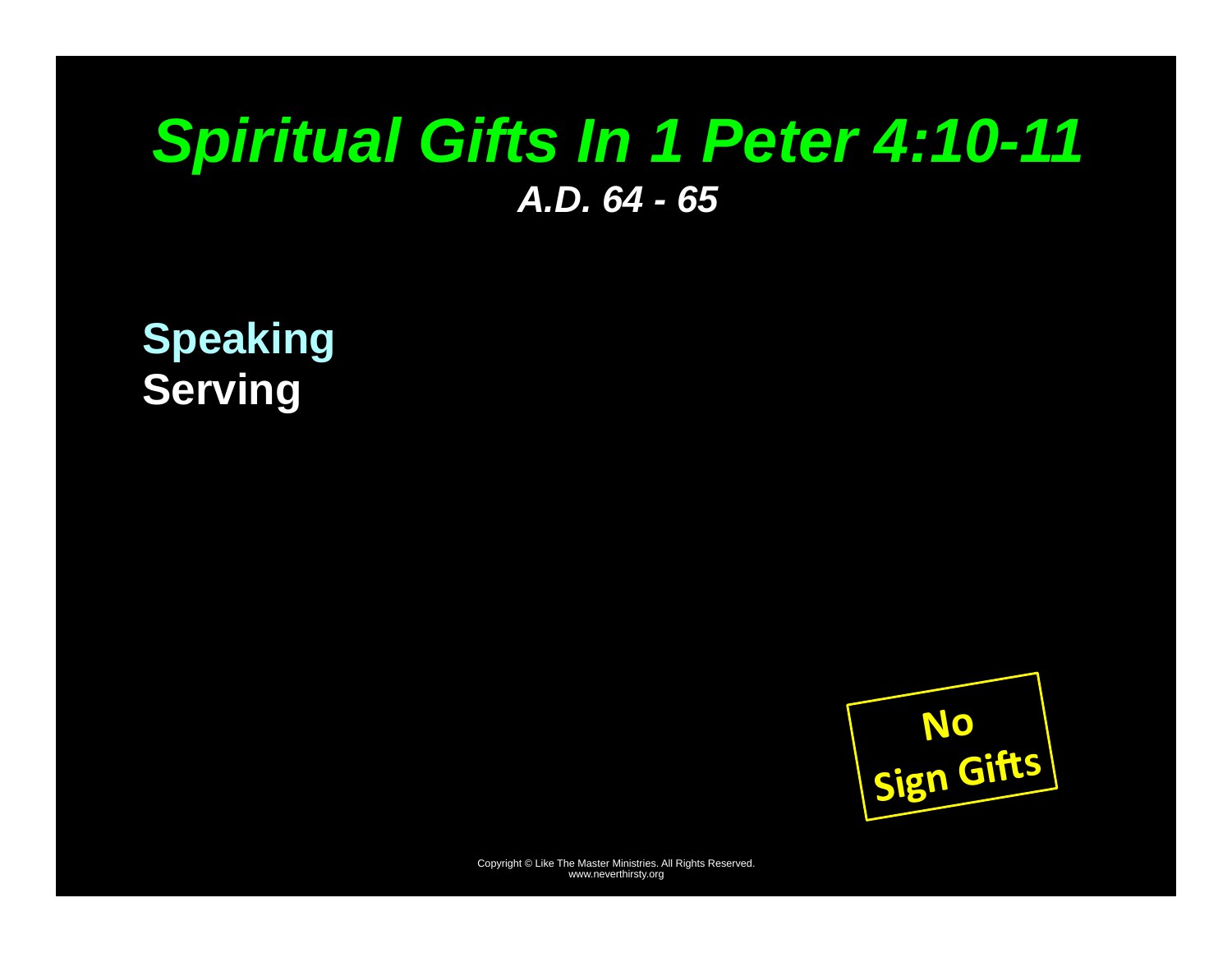## *Spiritual Gifts In 1 Peter 4:10-11 A.D. 64 - 65*

**Speaking Serving** 

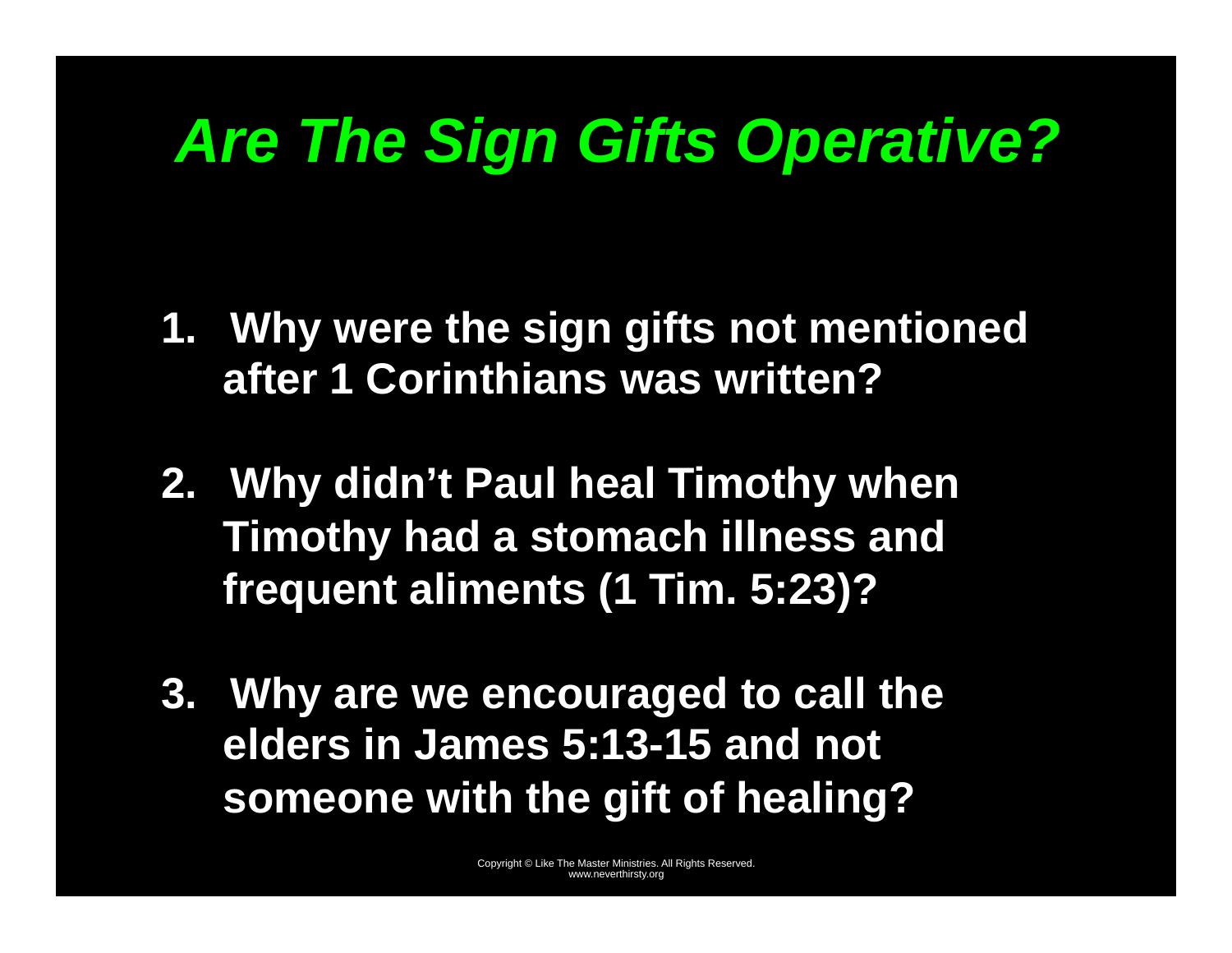# *Are The Sign Gifts Operative?*

- **1. Why were the sign gifts not mentioned after 1 Corinthians was written?**
- **2. Why didn't Paul heal Timothy when Timothy had a stomach illness and frequent aliments (1 Tim. 5:23)?**
- **3. Why are we encouraged to call the elders in James 5:13-15 and not someone with the gift of healing?**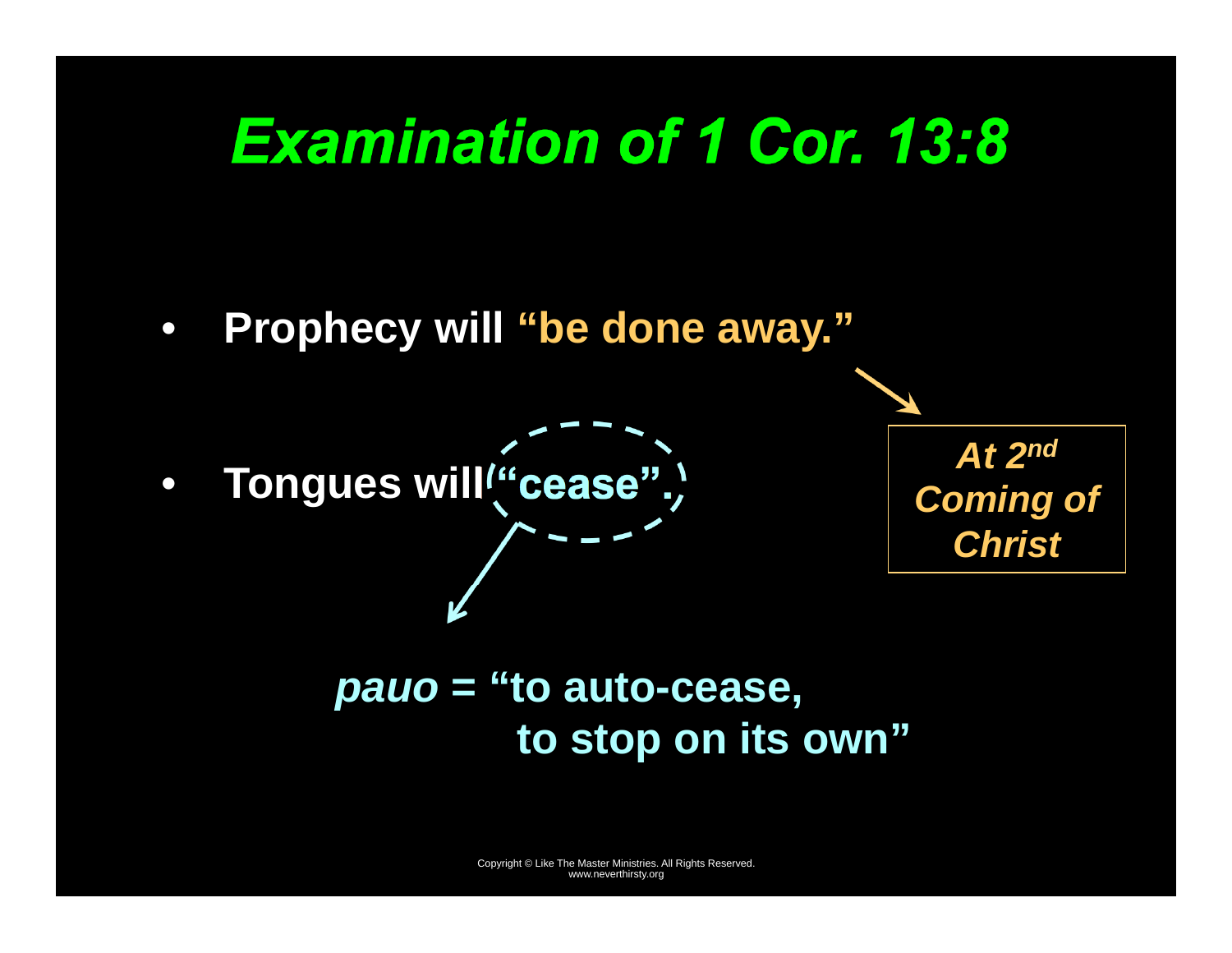

 **to stop on its own"**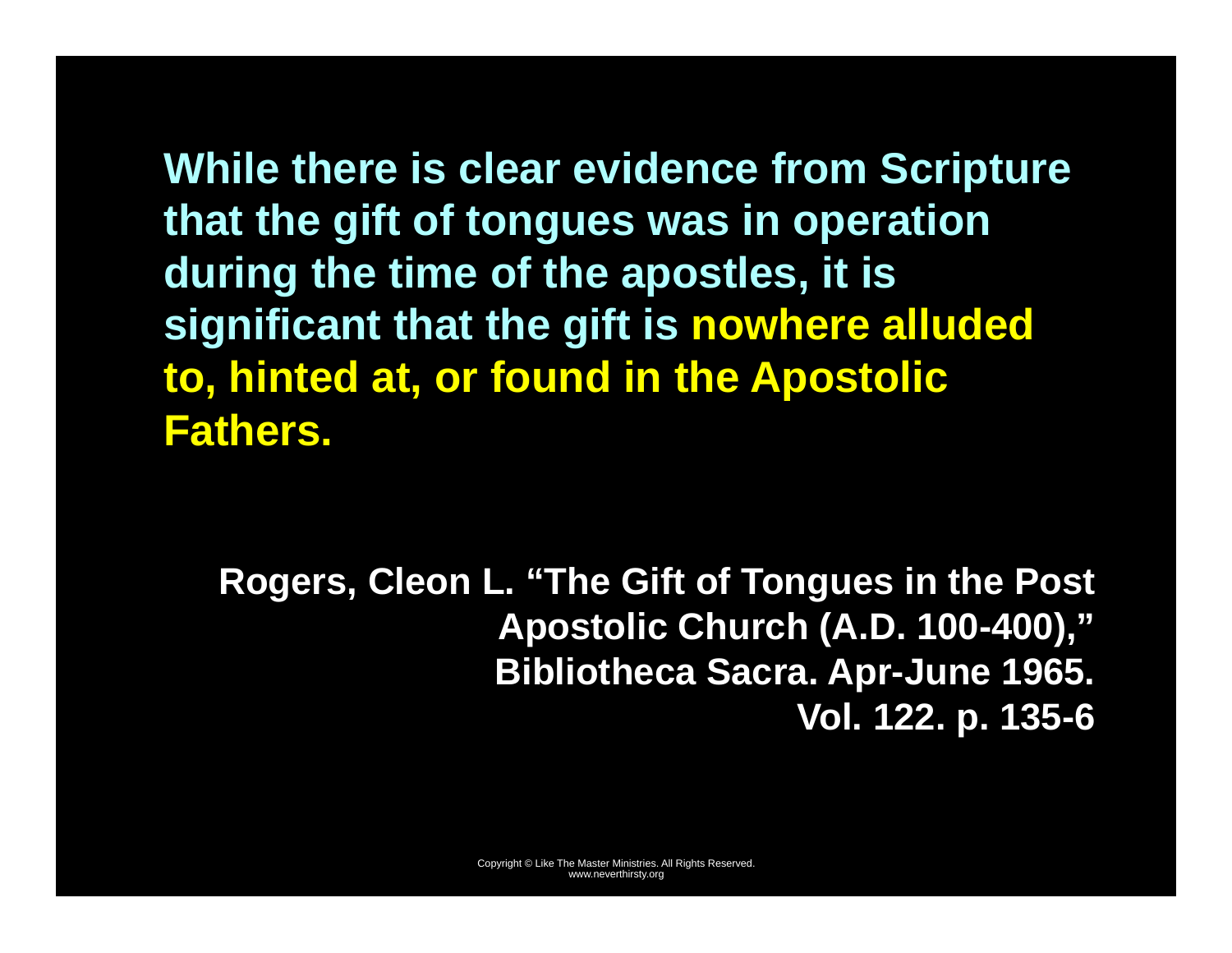**While there is clear evidence from Scripture that the gift of tongues was in operation during the time of the apostles, it is significant that the gift is nowhere alluded to, hinted at, or found in the Apostolic Fathers.** 

**Rogers, Cleon L. "The Gift of Tongues in the Post Apostolic Church (A.D. 100-400)," Bibliotheca Sacra. Apr-June 1965. Vol. 122. p. 135-6**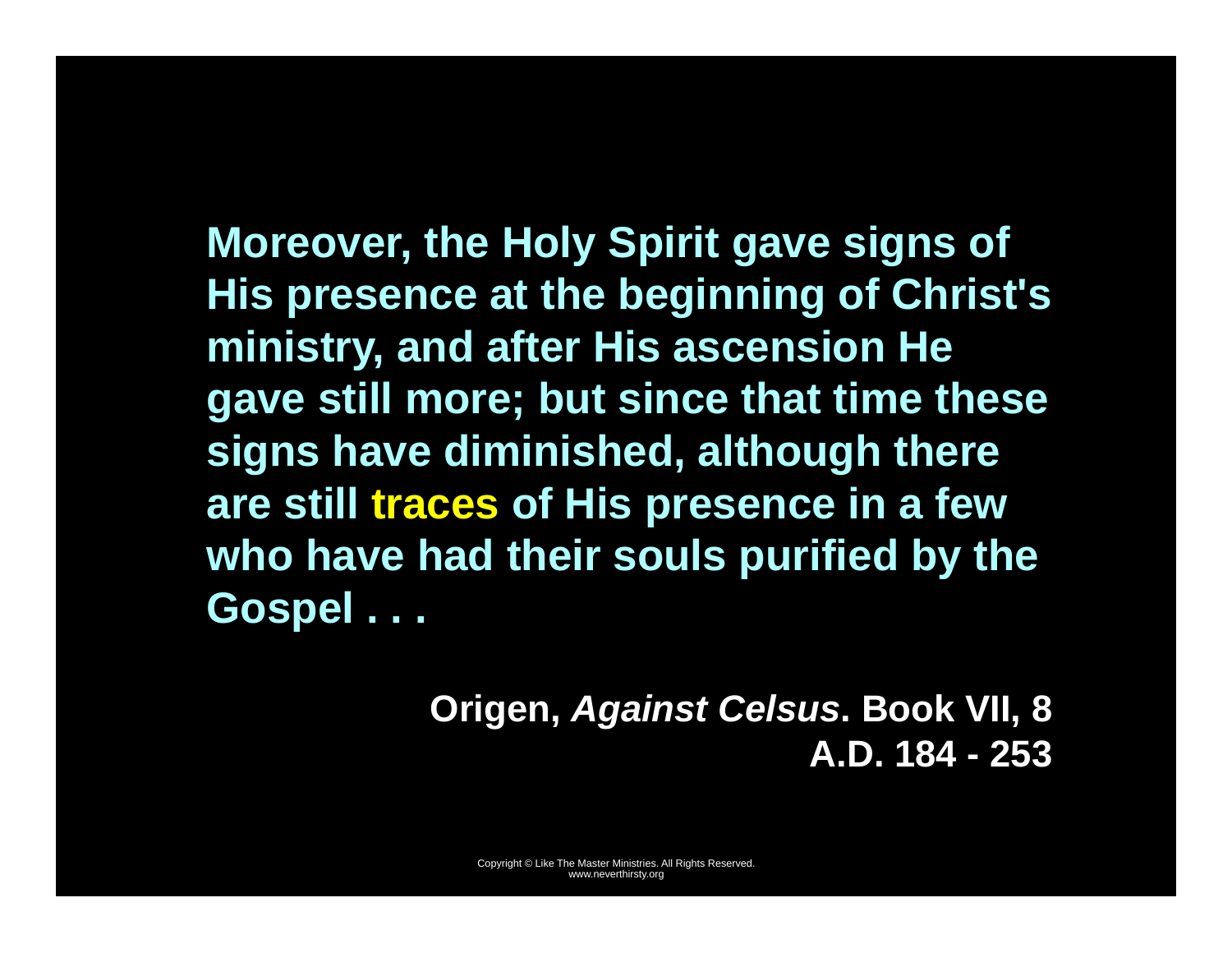**Moreover, the Holy Spirit gave signs of His presence at the beginning of Christ's ministry, and after His ascension He gave still more; but since that time these signs have diminished, although there are still traces of His presence in a few who have had their souls purified by the Gospel . . .** 

> **Origen,** *Against Celsus***. Book VII, 8 A.D. 184 - 253**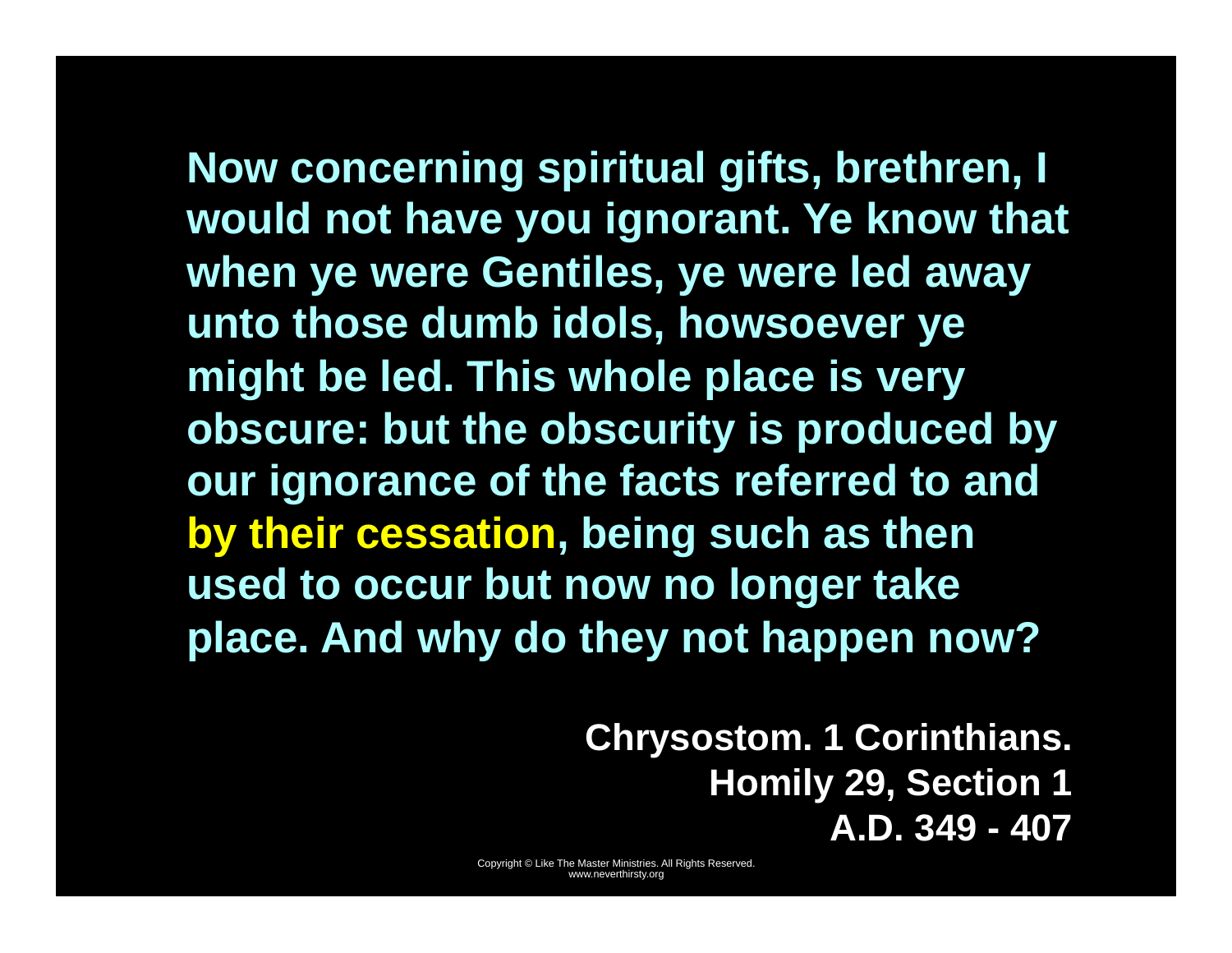**Now concerning spiritual gifts, brethren, I would not have you ignorant. Ye know that when ye were Gentiles, ye were led away unto those dumb idols, howsoever ye might be led. This whole place is very obscure: but the obscurity is produced by our ignorance of the facts referred to and by their cessation, being such as then used to occur but now no longer take place. And why do they not happen now?** 

> **Chrysostom. 1 Corinthians. Homily 29, Section 1 A.D. 349 - 407**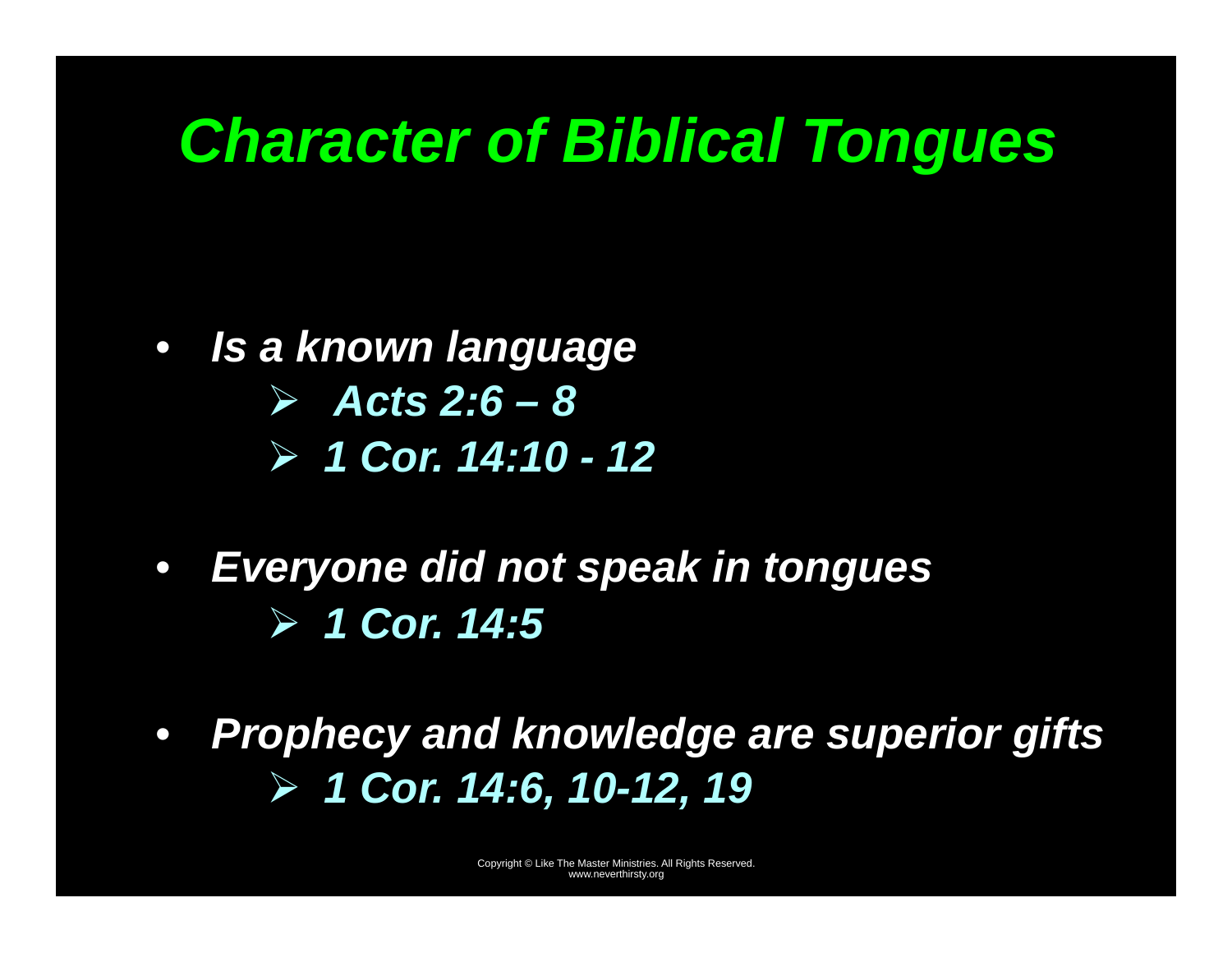# *Character of Biblical Tongues*

- *Is a known language*  - *Acts 2:6 – 8*  - *1 Cor. 14:10 - 12*
- *Everyone did not speak in tongues*  - *1 Cor. 14:5*
- $\bullet$  *Prophecy and knowledge are superior gifts*  - *1 Cor. 14:6, 10-12, 19*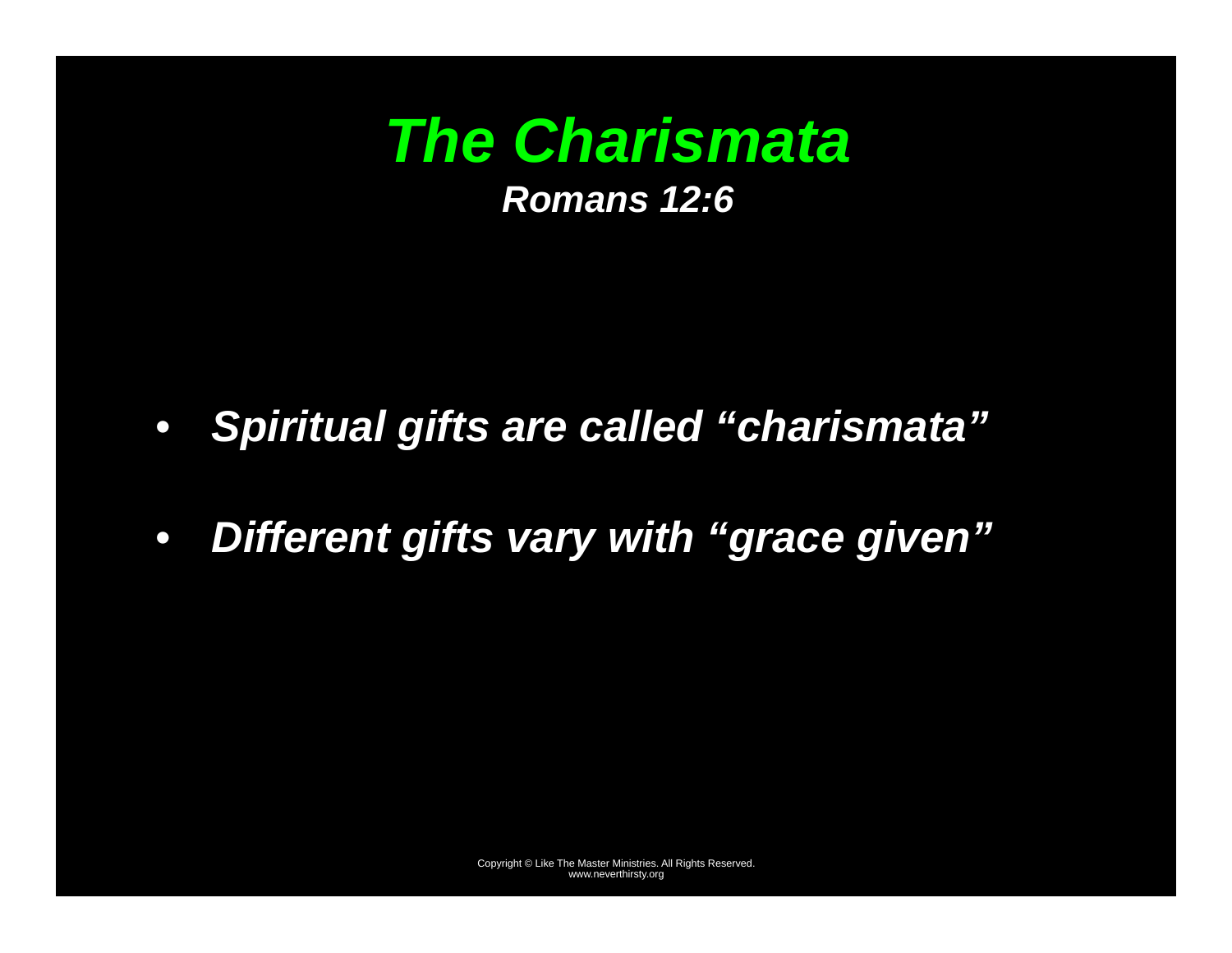

- *Spiritual gifts are called "charismata"*
- $\bullet$ *Different gifts vary with "grace given"*